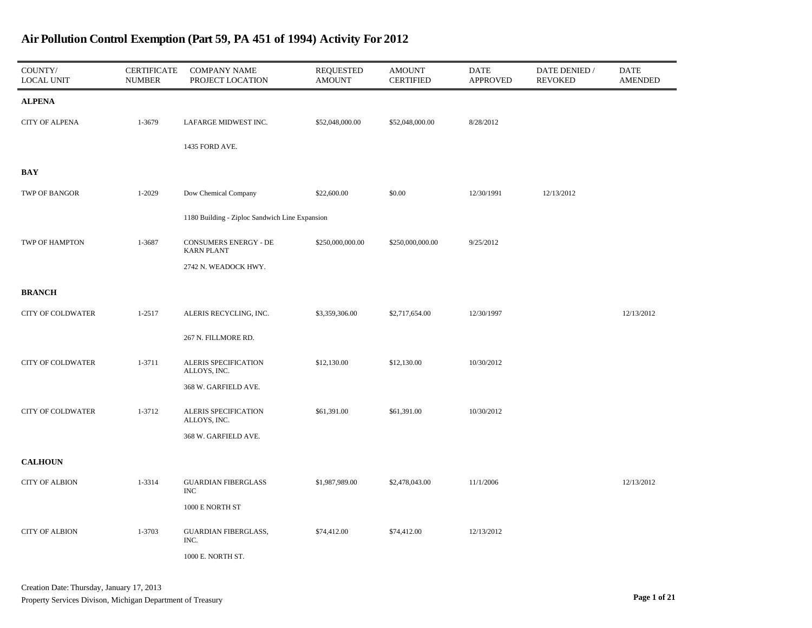| COUNTY/<br><b>LOCAL UNIT</b> | <b>CERTIFICATE</b><br><b>NUMBER</b> | <b>COMPANY NAME</b><br>PROJECT LOCATION        | <b>REQUESTED</b><br><b>AMOUNT</b> | <b>AMOUNT</b><br><b>CERTIFIED</b> | DATE<br><b>APPROVED</b> | DATE DENIED /<br><b>REVOKED</b> | DATE<br><b>AMENDED</b> |
|------------------------------|-------------------------------------|------------------------------------------------|-----------------------------------|-----------------------------------|-------------------------|---------------------------------|------------------------|
| <b>ALPENA</b>                |                                     |                                                |                                   |                                   |                         |                                 |                        |
| <b>CITY OF ALPENA</b>        | 1-3679                              | LAFARGE MIDWEST INC.                           | \$52,048,000.00                   | \$52,048,000.00                   | 8/28/2012               |                                 |                        |
|                              |                                     | 1435 FORD AVE.                                 |                                   |                                   |                         |                                 |                        |
| <b>BAY</b>                   |                                     |                                                |                                   |                                   |                         |                                 |                        |
| TWP OF BANGOR                | 1-2029                              | Dow Chemical Company                           | \$22,600.00                       | \$0.00                            | 12/30/1991              | 12/13/2012                      |                        |
|                              |                                     | 1180 Building - Ziploc Sandwich Line Expansion |                                   |                                   |                         |                                 |                        |
| TWP OF HAMPTON               | 1-3687                              | CONSUMERS ENERGY - DE<br><b>KARN PLANT</b>     | \$250,000,000.00                  | \$250,000,000.00                  | 9/25/2012               |                                 |                        |
|                              |                                     | 2742 N. WEADOCK HWY.                           |                                   |                                   |                         |                                 |                        |
| <b>BRANCH</b>                |                                     |                                                |                                   |                                   |                         |                                 |                        |
| <b>CITY OF COLDWATER</b>     | 1-2517                              | ALERIS RECYCLING, INC.                         | \$3,359,306.00                    | \$2,717,654.00                    | 12/30/1997              |                                 | 12/13/2012             |
|                              |                                     | 267 N. FILLMORE RD.                            |                                   |                                   |                         |                                 |                        |
| <b>CITY OF COLDWATER</b>     | 1-3711                              | ALERIS SPECIFICATION<br>ALLOYS, INC.           | \$12,130.00                       | \$12,130.00                       | 10/30/2012              |                                 |                        |
|                              |                                     | 368 W. GARFIELD AVE.                           |                                   |                                   |                         |                                 |                        |
| <b>CITY OF COLDWATER</b>     | 1-3712                              | ALERIS SPECIFICATION<br>ALLOYS, INC.           | \$61,391.00                       | \$61,391.00                       | 10/30/2012              |                                 |                        |
|                              |                                     | 368 W. GARFIELD AVE.                           |                                   |                                   |                         |                                 |                        |
| <b>CALHOUN</b>               |                                     |                                                |                                   |                                   |                         |                                 |                        |
| <b>CITY OF ALBION</b>        | 1-3314                              | <b>GUARDIAN FIBERGLASS</b><br>$\rm{INC}$       | \$1,987,989.00                    | \$2,478,043.00                    | 11/1/2006               |                                 | 12/13/2012             |
|                              |                                     | 1000 E NORTH ST                                |                                   |                                   |                         |                                 |                        |
| <b>CITY OF ALBION</b>        | 1-3703                              | <b>GUARDIAN FIBERGLASS,</b><br>INC.            | \$74,412.00                       | \$74,412.00                       | 12/13/2012              |                                 |                        |
|                              |                                     | 1000 E. NORTH ST.                              |                                   |                                   |                         |                                 |                        |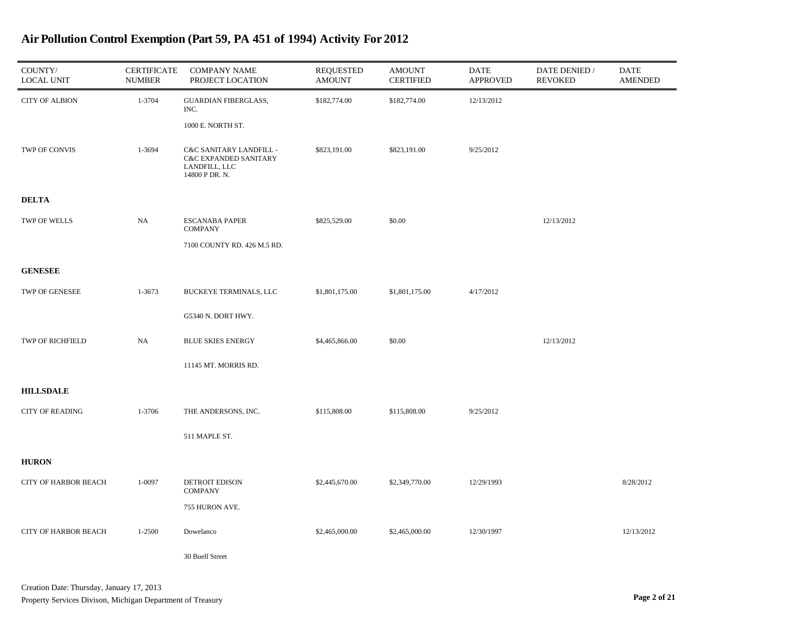| COUNTY/<br><b>LOCAL UNIT</b> | <b>CERTIFICATE</b><br><b>NUMBER</b> | <b>COMPANY NAME</b><br>PROJECT LOCATION                                                        | <b>REQUESTED</b><br><b>AMOUNT</b> | <b>AMOUNT</b><br><b>CERTIFIED</b> | <b>DATE</b><br><b>APPROVED</b> | DATE DENIED /<br><b>REVOKED</b> | DATE<br><b>AMENDED</b> |
|------------------------------|-------------------------------------|------------------------------------------------------------------------------------------------|-----------------------------------|-----------------------------------|--------------------------------|---------------------------------|------------------------|
| <b>CITY OF ALBION</b>        | 1-3704                              | <b>GUARDIAN FIBERGLASS,</b><br>INC.                                                            | \$182,774.00                      | \$182,774.00                      | 12/13/2012                     |                                 |                        |
|                              |                                     | 1000 E. NORTH ST.                                                                              |                                   |                                   |                                |                                 |                        |
| TWP OF CONVIS                | 1-3694                              | C&C SANITARY LANDFILL -<br><b>C&amp;C EXPANDED SANITARY</b><br>LANDFILL, LLC<br>14800 P DR. N. | \$823,191.00                      | \$823,191.00                      | 9/25/2012                      |                                 |                        |
| <b>DELTA</b>                 |                                     |                                                                                                |                                   |                                   |                                |                                 |                        |
| TWP OF WELLS                 | NA                                  | <b>ESCANABA PAPER</b><br><b>COMPANY</b>                                                        | \$825,529.00                      | \$0.00                            |                                | 12/13/2012                      |                        |
|                              |                                     | 7100 COUNTY RD. 426 M.5 RD.                                                                    |                                   |                                   |                                |                                 |                        |
| <b>GENESEE</b>               |                                     |                                                                                                |                                   |                                   |                                |                                 |                        |
| TWP OF GENESEE               | 1-3673                              | BUCKEYE TERMINALS, LLC                                                                         | \$1,801,175.00                    | \$1,801,175.00                    | 4/17/2012                      |                                 |                        |
|                              |                                     | G5340 N. DORT HWY.                                                                             |                                   |                                   |                                |                                 |                        |
| TWP OF RICHFIELD             | NA                                  | <b>BLUE SKIES ENERGY</b>                                                                       | \$4,465,866.00                    | \$0.00                            |                                | 12/13/2012                      |                        |
|                              |                                     | 11145 MT. MORRIS RD.                                                                           |                                   |                                   |                                |                                 |                        |
| <b>HILLSDALE</b>             |                                     |                                                                                                |                                   |                                   |                                |                                 |                        |
| <b>CITY OF READING</b>       | 1-3706                              | THE ANDERSONS, INC.                                                                            | \$115,808.00                      | \$115,808.00                      | 9/25/2012                      |                                 |                        |
|                              |                                     | 511 MAPLE ST.                                                                                  |                                   |                                   |                                |                                 |                        |
| <b>HURON</b>                 |                                     |                                                                                                |                                   |                                   |                                |                                 |                        |
| <b>CITY OF HARBOR BEACH</b>  | 1-0097                              | DETROIT EDISON<br><b>COMPANY</b>                                                               | \$2,445,670.00                    | \$2,349,770.00                    | 12/29/1993                     |                                 | 8/28/2012              |
|                              |                                     | 755 HURON AVE.                                                                                 |                                   |                                   |                                |                                 |                        |
| CITY OF HARBOR BEACH         | 1-2500                              | Dowelanco                                                                                      | \$2,465,000.00                    | \$2,465,000.00                    | 12/30/1997                     |                                 | 12/13/2012             |
|                              |                                     | 30 Buell Street                                                                                |                                   |                                   |                                |                                 |                        |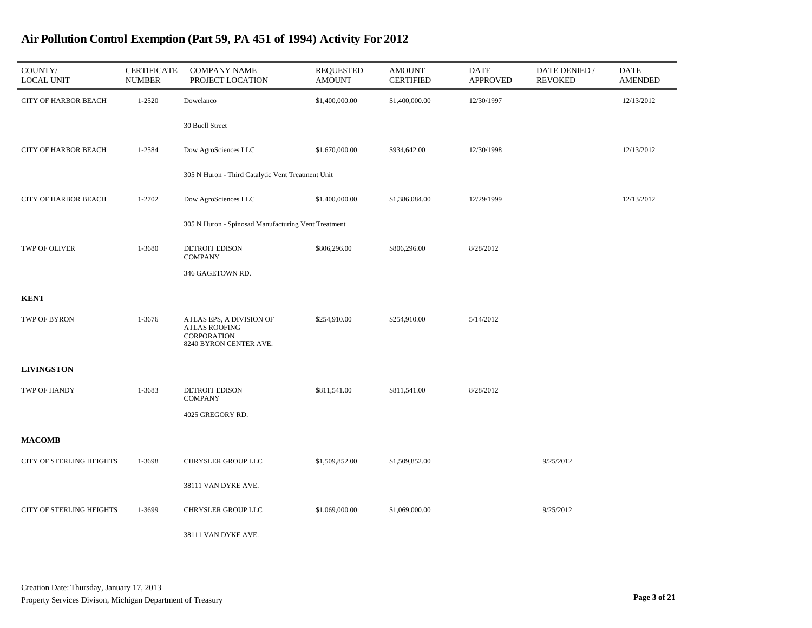| COUNTY/<br><b>LOCAL UNIT</b>    | <b>CERTIFICATE</b><br><b>NUMBER</b> | <b>COMPANY NAME</b><br>PROJECT LOCATION                                                          | <b>REQUESTED</b><br><b>AMOUNT</b> | <b>AMOUNT</b><br><b>CERTIFIED</b> | <b>DATE</b><br><b>APPROVED</b> | DATE DENIED /<br><b>REVOKED</b> | <b>DATE</b><br><b>AMENDED</b> |
|---------------------------------|-------------------------------------|--------------------------------------------------------------------------------------------------|-----------------------------------|-----------------------------------|--------------------------------|---------------------------------|-------------------------------|
| <b>CITY OF HARBOR BEACH</b>     | $1 - 2520$                          | Dowelanco                                                                                        | \$1,400,000.00                    | \$1,400,000.00                    | 12/30/1997                     |                                 | 12/13/2012                    |
|                                 |                                     | 30 Buell Street                                                                                  |                                   |                                   |                                |                                 |                               |
| <b>CITY OF HARBOR BEACH</b>     | 1-2584                              | Dow AgroSciences LLC                                                                             | \$1,670,000.00                    | \$934,642.00                      | 12/30/1998                     |                                 | 12/13/2012                    |
|                                 |                                     | 305 N Huron - Third Catalytic Vent Treatment Unit                                                |                                   |                                   |                                |                                 |                               |
| <b>CITY OF HARBOR BEACH</b>     | 1-2702                              | Dow AgroSciences LLC                                                                             | \$1,400,000.00                    | \$1,386,084.00                    | 12/29/1999                     |                                 | 12/13/2012                    |
|                                 |                                     | 305 N Huron - Spinosad Manufacturing Vent Treatment                                              |                                   |                                   |                                |                                 |                               |
| TWP OF OLIVER                   | 1-3680                              | DETROIT EDISON<br><b>COMPANY</b>                                                                 | \$806,296.00                      | \$806,296.00                      | 8/28/2012                      |                                 |                               |
|                                 |                                     | 346 GAGETOWN RD.                                                                                 |                                   |                                   |                                |                                 |                               |
| <b>KENT</b>                     |                                     |                                                                                                  |                                   |                                   |                                |                                 |                               |
| TWP OF BYRON                    | 1-3676                              | ATLAS EPS, A DIVISION OF<br><b>ATLAS ROOFING</b><br><b>CORPORATION</b><br>8240 BYRON CENTER AVE. | \$254,910.00                      | \$254,910.00                      | 5/14/2012                      |                                 |                               |
| <b>LIVINGSTON</b>               |                                     |                                                                                                  |                                   |                                   |                                |                                 |                               |
| TWP OF HANDY                    | 1-3683                              | <b>DETROIT EDISON</b><br><b>COMPANY</b>                                                          | \$811,541.00                      | \$811,541.00                      | 8/28/2012                      |                                 |                               |
|                                 |                                     | 4025 GREGORY RD.                                                                                 |                                   |                                   |                                |                                 |                               |
| <b>MACOMB</b>                   |                                     |                                                                                                  |                                   |                                   |                                |                                 |                               |
| CITY OF STERLING HEIGHTS        | 1-3698                              | CHRYSLER GROUP LLC                                                                               | \$1,509,852.00                    | \$1,509,852.00                    |                                | 9/25/2012                       |                               |
|                                 |                                     | 38111 VAN DYKE AVE.                                                                              |                                   |                                   |                                |                                 |                               |
| <b>CITY OF STERLING HEIGHTS</b> | 1-3699                              | CHRYSLER GROUP LLC                                                                               | \$1,069,000.00                    | \$1,069,000.00                    |                                | 9/25/2012                       |                               |
|                                 |                                     | 38111 VAN DYKE AVE.                                                                              |                                   |                                   |                                |                                 |                               |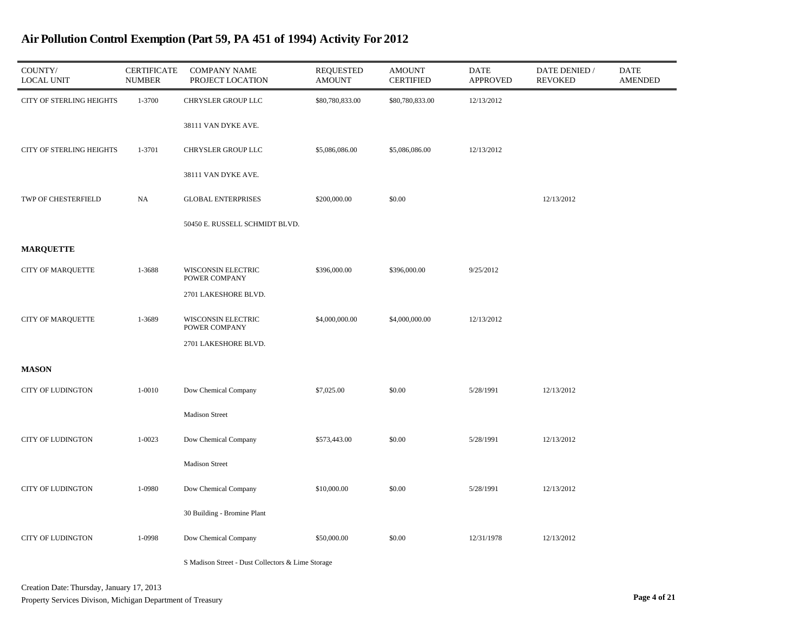| COUNTY/<br><b>LOCAL UNIT</b> | <b>CERTIFICATE</b><br><b>NUMBER</b> | <b>COMPANY NAME</b><br>PROJECT LOCATION | <b>REQUESTED</b><br><b>AMOUNT</b> | <b>AMOUNT</b><br><b>CERTIFIED</b> | <b>DATE</b><br><b>APPROVED</b> | DATE DENIED /<br><b>REVOKED</b> | DATE<br><b>AMENDED</b> |
|------------------------------|-------------------------------------|-----------------------------------------|-----------------------------------|-----------------------------------|--------------------------------|---------------------------------|------------------------|
| CITY OF STERLING HEIGHTS     | 1-3700                              | CHRYSLER GROUP LLC                      | \$80,780,833.00                   | \$80,780,833.00                   | 12/13/2012                     |                                 |                        |
|                              |                                     | 38111 VAN DYKE AVE.                     |                                   |                                   |                                |                                 |                        |
| CITY OF STERLING HEIGHTS     | 1-3701                              | CHRYSLER GROUP LLC                      | \$5,086,086.00                    | \$5,086,086.00                    | 12/13/2012                     |                                 |                        |
|                              |                                     | 38111 VAN DYKE AVE.                     |                                   |                                   |                                |                                 |                        |
| TWP OF CHESTERFIELD          | NA                                  | <b>GLOBAL ENTERPRISES</b>               | \$200,000.00                      | \$0.00                            |                                | 12/13/2012                      |                        |
|                              |                                     | 50450 E. RUSSELL SCHMIDT BLVD.          |                                   |                                   |                                |                                 |                        |
| <b>MARQUETTE</b>             |                                     |                                         |                                   |                                   |                                |                                 |                        |
| <b>CITY OF MARQUETTE</b>     | 1-3688                              | WISCONSIN ELECTRIC<br>POWER COMPANY     | \$396,000.00                      | \$396,000.00                      | 9/25/2012                      |                                 |                        |
|                              |                                     | 2701 LAKESHORE BLVD.                    |                                   |                                   |                                |                                 |                        |
| <b>CITY OF MARQUETTE</b>     | 1-3689                              | WISCONSIN ELECTRIC<br>POWER COMPANY     | \$4,000,000.00                    | \$4,000,000.00                    | 12/13/2012                     |                                 |                        |
|                              |                                     | 2701 LAKESHORE BLVD.                    |                                   |                                   |                                |                                 |                        |
| <b>MASON</b>                 |                                     |                                         |                                   |                                   |                                |                                 |                        |
| <b>CITY OF LUDINGTON</b>     | $1 - 0010$                          | Dow Chemical Company                    | \$7,025.00                        | \$0.00                            | 5/28/1991                      | 12/13/2012                      |                        |
|                              |                                     | <b>Madison Street</b>                   |                                   |                                   |                                |                                 |                        |
| <b>CITY OF LUDINGTON</b>     | $1 - 0023$                          | Dow Chemical Company                    | \$573,443.00                      | \$0.00                            | 5/28/1991                      | 12/13/2012                      |                        |
|                              |                                     | <b>Madison Street</b>                   |                                   |                                   |                                |                                 |                        |
| CITY OF LUDINGTON            | 1-0980                              | Dow Chemical Company                    | \$10,000.00                       | \$0.00                            | 5/28/1991                      | 12/13/2012                      |                        |
|                              |                                     | 30 Building - Bromine Plant             |                                   |                                   |                                |                                 |                        |
| <b>CITY OF LUDINGTON</b>     | 1-0998                              | Dow Chemical Company                    | \$50,000.00                       | \$0.00                            | 12/31/1978                     | 12/13/2012                      |                        |

S Madison Street - Dust Collectors & Lime Storage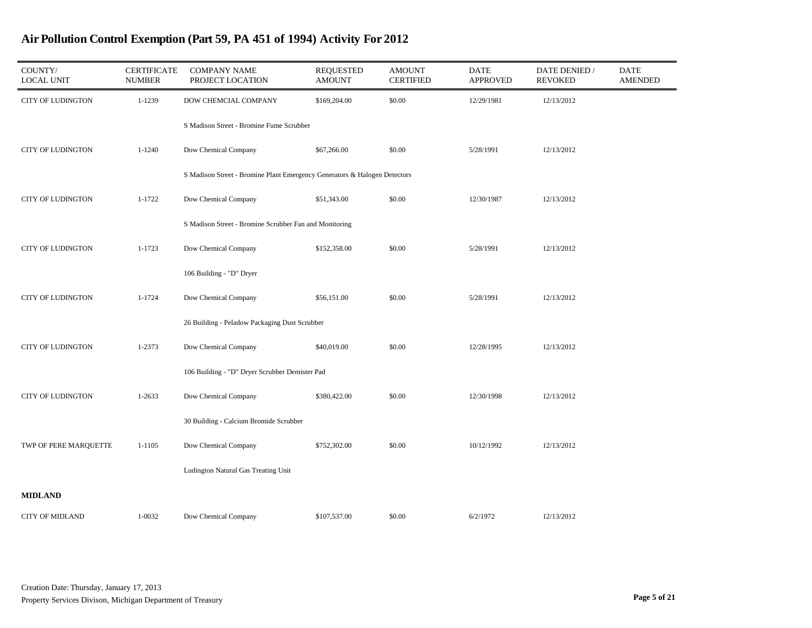| COUNTY/<br><b>LOCAL UNIT</b> | <b>CERTIFICATE</b><br><b>NUMBER</b> | <b>COMPANY NAME</b><br>PROJECT LOCATION                                   | <b>REQUESTED</b><br><b>AMOUNT</b> | <b>AMOUNT</b><br><b>CERTIFIED</b> | <b>DATE</b><br><b>APPROVED</b> | DATE DENIED /<br><b>REVOKED</b> | <b>DATE</b><br><b>AMENDED</b> |
|------------------------------|-------------------------------------|---------------------------------------------------------------------------|-----------------------------------|-----------------------------------|--------------------------------|---------------------------------|-------------------------------|
| <b>CITY OF LUDINGTON</b>     | 1-1239                              | DOW CHEMCIAL COMPANY                                                      | \$169,204.00                      | \$0.00                            | 12/29/1981                     | 12/13/2012                      |                               |
|                              |                                     | S Madison Street - Bromine Fume Scrubber                                  |                                   |                                   |                                |                                 |                               |
| <b>CITY OF LUDINGTON</b>     | $1 - 1240$                          | Dow Chemical Company                                                      | \$67,266.00                       | \$0.00                            | 5/28/1991                      | 12/13/2012                      |                               |
|                              |                                     | S Madison Street - Bromine Plant Emergency Generators & Halogen Detectors |                                   |                                   |                                |                                 |                               |
| <b>CITY OF LUDINGTON</b>     | $1 - 1722$                          | Dow Chemical Company                                                      | \$51,343.00                       | \$0.00                            | 12/30/1987                     | 12/13/2012                      |                               |
|                              |                                     | S Madison Street - Bromine Scrubber Fan and Monitoring                    |                                   |                                   |                                |                                 |                               |
| <b>CITY OF LUDINGTON</b>     | 1-1723                              | Dow Chemical Company                                                      | \$152,358.00                      | \$0.00                            | 5/28/1991                      | 12/13/2012                      |                               |
|                              |                                     | 106 Building - "D" Dryer                                                  |                                   |                                   |                                |                                 |                               |
| <b>CITY OF LUDINGTON</b>     | 1-1724                              | Dow Chemical Company                                                      | \$56,151.00                       | \$0.00                            | 5/28/1991                      | 12/13/2012                      |                               |
|                              |                                     | 26 Building - Peladow Packaging Dust Scrubber                             |                                   |                                   |                                |                                 |                               |
| <b>CITY OF LUDINGTON</b>     | 1-2373                              | Dow Chemical Company                                                      | \$40,019.00                       | \$0.00                            | 12/28/1995                     | 12/13/2012                      |                               |
|                              |                                     | 106 Building - "D" Dryer Scrubber Demister Pad                            |                                   |                                   |                                |                                 |                               |
| <b>CITY OF LUDINGTON</b>     | $1 - 2633$                          | Dow Chemical Company                                                      | \$380,422.00                      | \$0.00                            | 12/30/1998                     | 12/13/2012                      |                               |
|                              |                                     | 30 Building - Calcium Bromide Scrubber                                    |                                   |                                   |                                |                                 |                               |
| TWP OF PERE MARQUETTE        | $1 - 1105$                          | Dow Chemical Company                                                      | \$752,302.00                      | \$0.00                            | 10/12/1992                     | 12/13/2012                      |                               |
|                              |                                     | Ludington Natural Gas Treating Unit                                       |                                   |                                   |                                |                                 |                               |
| <b>MIDLAND</b>               |                                     |                                                                           |                                   |                                   |                                |                                 |                               |
| <b>CITY OF MIDLAND</b>       | 1-0032                              | Dow Chemical Company                                                      | \$107,537.00                      | \$0.00                            | 6/2/1972                       | 12/13/2012                      |                               |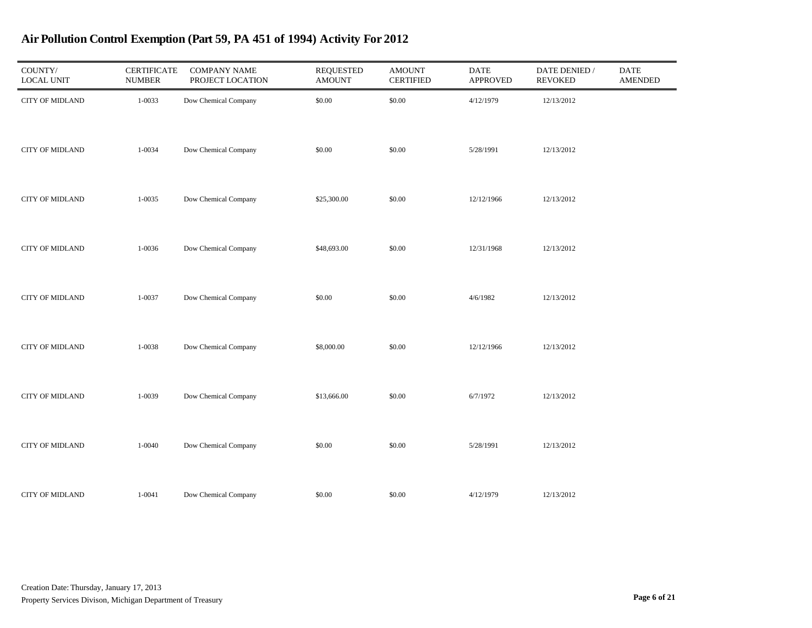| COUNTY/<br><b>LOCAL UNIT</b> | <b>CERTIFICATE</b><br><b>NUMBER</b> | <b>COMPANY NAME</b><br>PROJECT LOCATION | <b>REQUESTED</b><br><b>AMOUNT</b> | <b>AMOUNT</b><br><b>CERTIFIED</b> | <b>DATE</b><br><b>APPROVED</b> | DATE DENIED /<br><b>REVOKED</b> | <b>DATE</b><br><b>AMENDED</b> |
|------------------------------|-------------------------------------|-----------------------------------------|-----------------------------------|-----------------------------------|--------------------------------|---------------------------------|-------------------------------|
| <b>CITY OF MIDLAND</b>       | 1-0033                              | Dow Chemical Company                    | \$0.00                            | \$0.00                            | 4/12/1979                      | 12/13/2012                      |                               |
| <b>CITY OF MIDLAND</b>       | 1-0034                              | Dow Chemical Company                    | \$0.00                            | \$0.00                            | 5/28/1991                      | 12/13/2012                      |                               |
| <b>CITY OF MIDLAND</b>       | $1 - 0035$                          | Dow Chemical Company                    | \$25,300.00                       | \$0.00                            | 12/12/1966                     | 12/13/2012                      |                               |
| <b>CITY OF MIDLAND</b>       | 1-0036                              | Dow Chemical Company                    | \$48,693.00                       | \$0.00                            | 12/31/1968                     | 12/13/2012                      |                               |
| <b>CITY OF MIDLAND</b>       | $1 - 0037$                          | Dow Chemical Company                    | \$0.00                            | \$0.00                            | 4/6/1982                       | 12/13/2012                      |                               |
| <b>CITY OF MIDLAND</b>       | 1-0038                              | Dow Chemical Company                    | \$8,000.00                        | \$0.00                            | 12/12/1966                     | 12/13/2012                      |                               |
| <b>CITY OF MIDLAND</b>       | 1-0039                              | Dow Chemical Company                    | \$13,666.00                       | \$0.00                            | 6/7/1972                       | 12/13/2012                      |                               |
| <b>CITY OF MIDLAND</b>       | $1 - 0040$                          | Dow Chemical Company                    | \$0.00                            | \$0.00                            | 5/28/1991                      | 12/13/2012                      |                               |
| <b>CITY OF MIDLAND</b>       | $1 - 0041$                          | Dow Chemical Company                    | \$0.00                            | \$0.00                            | 4/12/1979                      | 12/13/2012                      |                               |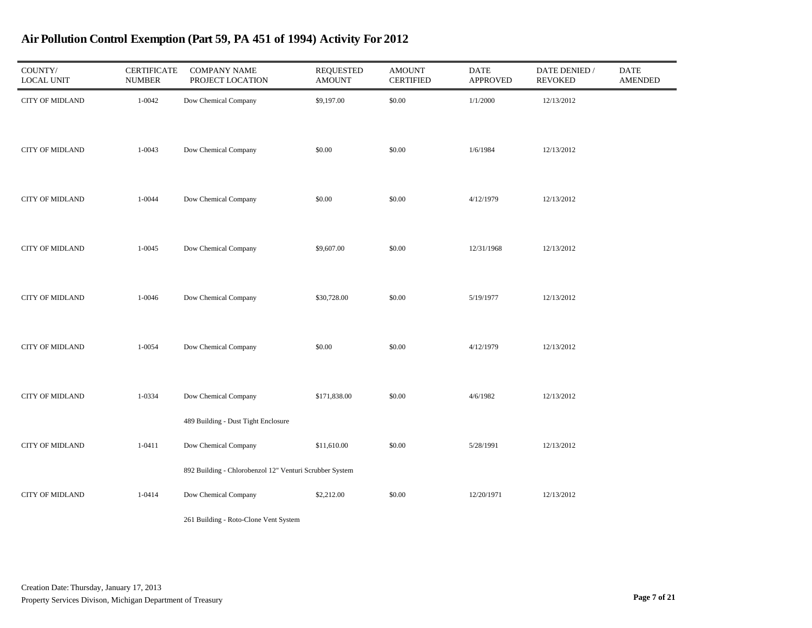| COUNTY/<br><b>LOCAL UNIT</b> | <b>CERTIFICATE</b><br><b>NUMBER</b> | <b>COMPANY NAME</b><br>PROJECT LOCATION                 | <b>REQUESTED</b><br><b>AMOUNT</b> | <b>AMOUNT</b><br><b>CERTIFIED</b> | <b>DATE</b><br><b>APPROVED</b> | DATE DENIED /<br><b>REVOKED</b> | <b>DATE</b><br><b>AMENDED</b> |
|------------------------------|-------------------------------------|---------------------------------------------------------|-----------------------------------|-----------------------------------|--------------------------------|---------------------------------|-------------------------------|
| <b>CITY OF MIDLAND</b>       | $1 - 0042$                          | Dow Chemical Company                                    | \$9,197.00                        | \$0.00                            | 1/1/2000                       | 12/13/2012                      |                               |
| <b>CITY OF MIDLAND</b>       | 1-0043                              | Dow Chemical Company                                    | \$0.00                            | \$0.00                            | 1/6/1984                       | 12/13/2012                      |                               |
| <b>CITY OF MIDLAND</b>       | $1 - 0044$                          | Dow Chemical Company                                    | \$0.00                            | \$0.00                            | 4/12/1979                      | 12/13/2012                      |                               |
| <b>CITY OF MIDLAND</b>       | $1 - 0045$                          | Dow Chemical Company                                    | \$9,607.00                        | \$0.00                            | 12/31/1968                     | 12/13/2012                      |                               |
| <b>CITY OF MIDLAND</b>       | $1 - 0046$                          | Dow Chemical Company                                    | \$30,728.00                       | \$0.00                            | 5/19/1977                      | 12/13/2012                      |                               |
| <b>CITY OF MIDLAND</b>       | 1-0054                              | Dow Chemical Company                                    | \$0.00                            | \$0.00                            | 4/12/1979                      | 12/13/2012                      |                               |
| <b>CITY OF MIDLAND</b>       | 1-0334                              | Dow Chemical Company                                    | \$171,838.00                      | \$0.00                            | 4/6/1982                       | 12/13/2012                      |                               |
|                              |                                     | 489 Building - Dust Tight Enclosure                     |                                   |                                   |                                |                                 |                               |
| <b>CITY OF MIDLAND</b>       | $1 - 0411$                          | Dow Chemical Company                                    | \$11,610.00                       | \$0.00                            | 5/28/1991                      | 12/13/2012                      |                               |
|                              |                                     | 892 Building - Chlorobenzol 12" Venturi Scrubber System |                                   |                                   |                                |                                 |                               |
| <b>CITY OF MIDLAND</b>       | 1-0414                              | Dow Chemical Company                                    | \$2,212.00                        | \$0.00                            | 12/20/1971                     | 12/13/2012                      |                               |
|                              |                                     | 261 Building - Roto-Clone Vent System                   |                                   |                                   |                                |                                 |                               |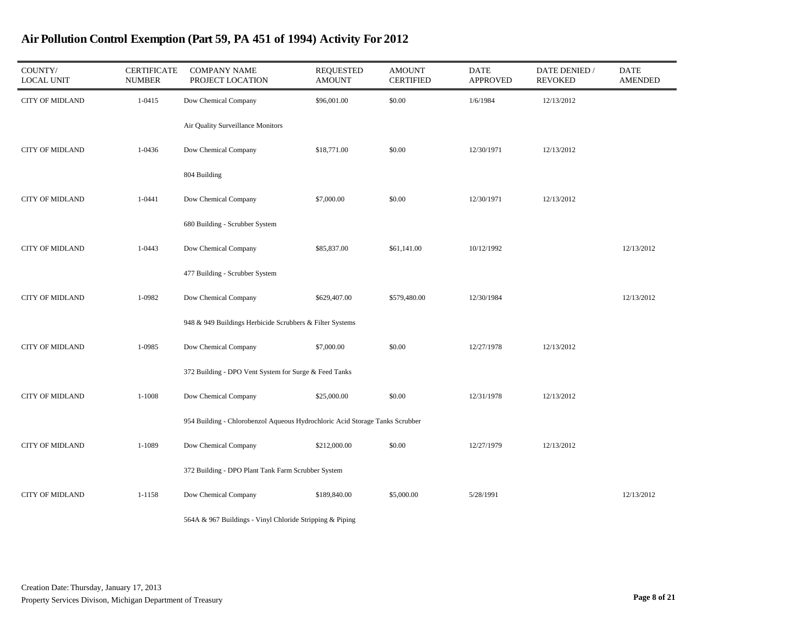| COUNTY/<br><b>LOCAL UNIT</b> | <b>CERTIFICATE</b><br><b>NUMBER</b> | <b>COMPANY NAME</b><br>PROJECT LOCATION                                      | <b>REQUESTED</b><br><b>AMOUNT</b> | <b>AMOUNT</b><br><b>CERTIFIED</b> | <b>DATE</b><br><b>APPROVED</b> | DATE DENIED /<br><b>REVOKED</b> | <b>DATE</b><br><b>AMENDED</b> |
|------------------------------|-------------------------------------|------------------------------------------------------------------------------|-----------------------------------|-----------------------------------|--------------------------------|---------------------------------|-------------------------------|
| CITY OF MIDLAND              | $1 - 0415$                          | Dow Chemical Company                                                         | \$96,001.00                       | \$0.00                            | 1/6/1984                       | 12/13/2012                      |                               |
|                              |                                     | Air Quality Surveillance Monitors                                            |                                   |                                   |                                |                                 |                               |
| <b>CITY OF MIDLAND</b>       | 1-0436                              | Dow Chemical Company                                                         | \$18,771.00                       | \$0.00                            | 12/30/1971                     | 12/13/2012                      |                               |
|                              |                                     | 804 Building                                                                 |                                   |                                   |                                |                                 |                               |
| <b>CITY OF MIDLAND</b>       | $1 - 0441$                          | Dow Chemical Company                                                         | \$7,000.00                        | \$0.00                            | 12/30/1971                     | 12/13/2012                      |                               |
|                              |                                     | 680 Building - Scrubber System                                               |                                   |                                   |                                |                                 |                               |
| <b>CITY OF MIDLAND</b>       | $1 - 0443$                          | Dow Chemical Company                                                         | \$85,837.00                       | \$61,141.00                       | 10/12/1992                     |                                 | 12/13/2012                    |
|                              |                                     | 477 Building - Scrubber System                                               |                                   |                                   |                                |                                 |                               |
| <b>CITY OF MIDLAND</b>       | 1-0982                              | Dow Chemical Company                                                         | \$629,407.00                      | \$579,480.00                      | 12/30/1984                     |                                 | 12/13/2012                    |
|                              |                                     | 948 & 949 Buildings Herbicide Scrubbers & Filter Systems                     |                                   |                                   |                                |                                 |                               |
| <b>CITY OF MIDLAND</b>       | 1-0985                              | Dow Chemical Company                                                         | \$7,000.00                        | \$0.00                            | 12/27/1978                     | 12/13/2012                      |                               |
|                              |                                     | 372 Building - DPO Vent System for Surge & Feed Tanks                        |                                   |                                   |                                |                                 |                               |
| <b>CITY OF MIDLAND</b>       | $1 - 1008$                          | Dow Chemical Company                                                         | \$25,000.00                       | \$0.00                            | 12/31/1978                     | 12/13/2012                      |                               |
|                              |                                     | 954 Building - Chlorobenzol Aqueous Hydrochloric Acid Storage Tanks Scrubber |                                   |                                   |                                |                                 |                               |
| <b>CITY OF MIDLAND</b>       | 1-1089                              | Dow Chemical Company                                                         | \$212,000.00                      | \$0.00                            | 12/27/1979                     | 12/13/2012                      |                               |
|                              |                                     | 372 Building - DPO Plant Tank Farm Scrubber System                           |                                   |                                   |                                |                                 |                               |
| <b>CITY OF MIDLAND</b>       | 1-1158                              | Dow Chemical Company                                                         | \$189,840.00                      | \$5,000.00                        | 5/28/1991                      |                                 | 12/13/2012                    |
|                              |                                     | 564A & 967 Buildings - Vinyl Chloride Stripping & Piping                     |                                   |                                   |                                |                                 |                               |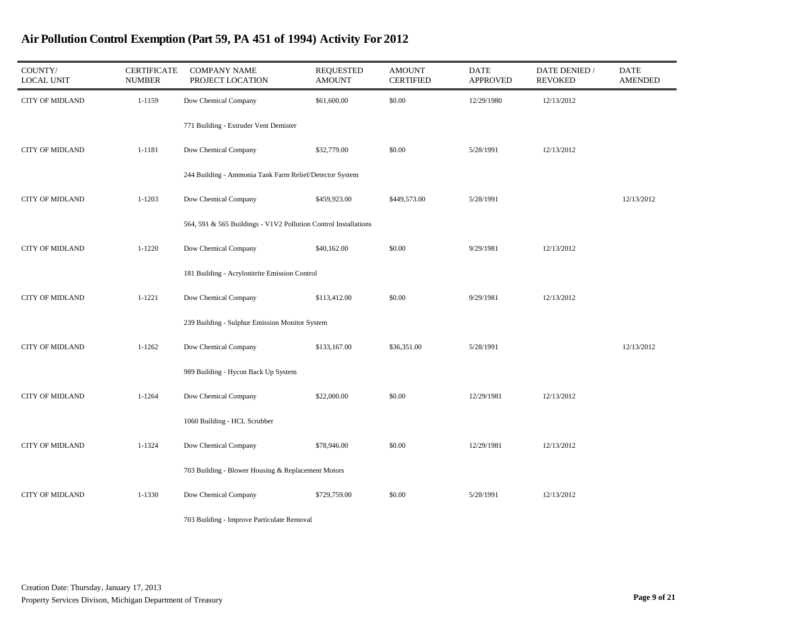| COUNTY/<br><b>LOCAL UNIT</b> | <b>CERTIFICATE</b><br><b>NUMBER</b> | <b>COMPANY NAME</b><br>PROJECT LOCATION                         | <b>REQUESTED</b><br><b>AMOUNT</b> | <b>AMOUNT</b><br><b>CERTIFIED</b> | <b>DATE</b><br><b>APPROVED</b> | DATE DENIED /<br><b>REVOKED</b> | <b>DATE</b><br><b>AMENDED</b> |  |
|------------------------------|-------------------------------------|-----------------------------------------------------------------|-----------------------------------|-----------------------------------|--------------------------------|---------------------------------|-------------------------------|--|
| <b>CITY OF MIDLAND</b>       | 1-1159                              | Dow Chemical Company                                            | \$61,600.00                       | \$0.00                            | 12/29/1980                     | 12/13/2012                      |                               |  |
|                              |                                     | 771 Building - Extruder Vent Demister                           |                                   |                                   |                                |                                 |                               |  |
| <b>CITY OF MIDLAND</b>       | 1-1181                              | Dow Chemical Company                                            | \$32,779.00                       | \$0.00                            | 5/28/1991                      | 12/13/2012                      |                               |  |
|                              |                                     | 244 Building - Ammonia Tank Farm Relief/Detector System         |                                   |                                   |                                |                                 |                               |  |
| <b>CITY OF MIDLAND</b>       | $1 - 1203$                          | Dow Chemical Company                                            | \$459,923.00                      | \$449,573.00                      | 5/28/1991                      |                                 | 12/13/2012                    |  |
|                              |                                     | 564, 591 & 565 Buildings - V1V2 Pollution Control Installations |                                   |                                   |                                |                                 |                               |  |
| <b>CITY OF MIDLAND</b>       | $1 - 1220$                          | Dow Chemical Company                                            | \$40,162.00                       | \$0.00                            | 9/29/1981                      | 12/13/2012                      |                               |  |
|                              |                                     | 181 Building - Acrylonitrite Emission Control                   |                                   |                                   |                                |                                 |                               |  |
| <b>CITY OF MIDLAND</b>       | $1 - 1221$                          | Dow Chemical Company                                            | \$113,412.00                      | \$0.00                            | 9/29/1981                      | 12/13/2012                      |                               |  |
|                              |                                     | 239 Building - Sulphur Emission Monitor System                  |                                   |                                   |                                |                                 |                               |  |
| <b>CITY OF MIDLAND</b>       | $1 - 1262$                          | Dow Chemical Company                                            | \$133,167.00                      | \$36,351.00                       | 5/28/1991                      |                                 | 12/13/2012                    |  |
|                              |                                     | 989 Building - Hycon Back Up System                             |                                   |                                   |                                |                                 |                               |  |
| <b>CITY OF MIDLAND</b>       | $1 - 1264$                          | Dow Chemical Company                                            | \$22,000.00                       | \$0.00                            | 12/29/1981                     | 12/13/2012                      |                               |  |
|                              |                                     | 1060 Building - HCL Scrubber                                    |                                   |                                   |                                |                                 |                               |  |
| <b>CITY OF MIDLAND</b>       | 1-1324                              | Dow Chemical Company                                            | \$78,946.00                       | \$0.00                            | 12/29/1981                     | 12/13/2012                      |                               |  |
|                              |                                     | 703 Building - Blower Housing & Replacement Motors              |                                   |                                   |                                |                                 |                               |  |
| <b>CITY OF MIDLAND</b>       | 1-1330                              | Dow Chemical Company                                            | \$729,759.00                      | \$0.00                            | 5/28/1991                      | 12/13/2012                      |                               |  |
|                              |                                     |                                                                 |                                   |                                   |                                |                                 |                               |  |

703 Building - Improve Particulate Removal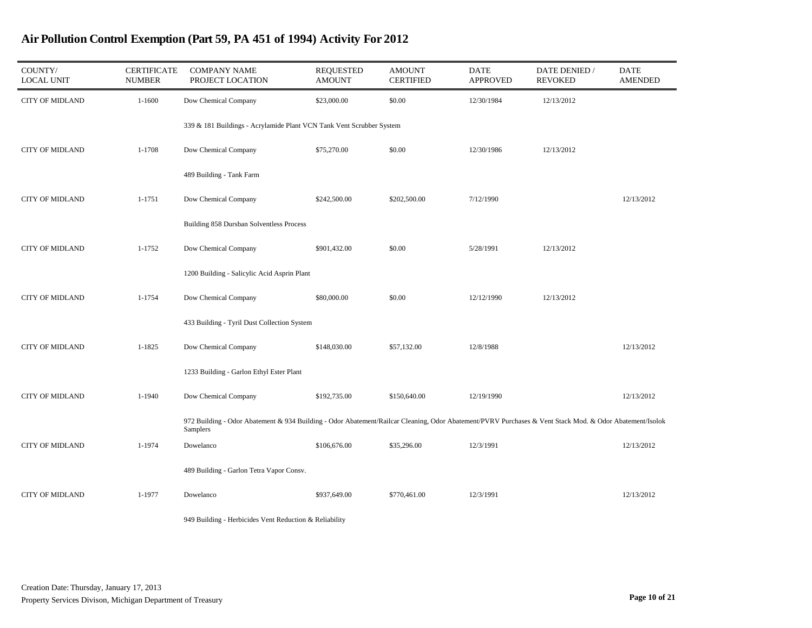| COUNTY/<br><b>LOCAL UNIT</b> | <b>CERTIFICATE</b><br><b>NUMBER</b> | <b>COMPANY NAME</b><br>PROJECT LOCATION                                                                                                                             | <b>REQUESTED</b><br><b>AMOUNT</b> | <b>AMOUNT</b><br><b>CERTIFIED</b> | DATE<br><b>APPROVED</b> | DATE DENIED /<br><b>REVOKED</b> | <b>DATE</b><br><b>AMENDED</b> |
|------------------------------|-------------------------------------|---------------------------------------------------------------------------------------------------------------------------------------------------------------------|-----------------------------------|-----------------------------------|-------------------------|---------------------------------|-------------------------------|
| <b>CITY OF MIDLAND</b>       | $1 - 1600$                          | Dow Chemical Company                                                                                                                                                | \$23,000.00                       | \$0.00                            | 12/30/1984              | 12/13/2012                      |                               |
|                              |                                     | 339 & 181 Buildings - Acrylamide Plant VCN Tank Vent Scrubber System                                                                                                |                                   |                                   |                         |                                 |                               |
| <b>CITY OF MIDLAND</b>       | $1 - 1708$                          | Dow Chemical Company                                                                                                                                                | \$75,270.00                       | \$0.00                            | 12/30/1986              | 12/13/2012                      |                               |
|                              |                                     | 489 Building - Tank Farm                                                                                                                                            |                                   |                                   |                         |                                 |                               |
| <b>CITY OF MIDLAND</b>       | $1 - 1751$                          | Dow Chemical Company                                                                                                                                                | \$242,500.00                      | \$202,500.00                      | 7/12/1990               |                                 | 12/13/2012                    |
|                              |                                     | Building 858 Dursban Solventless Process                                                                                                                            |                                   |                                   |                         |                                 |                               |
| <b>CITY OF MIDLAND</b>       | $1 - 1752$                          | Dow Chemical Company                                                                                                                                                | \$901,432.00                      | \$0.00                            | 5/28/1991               | 12/13/2012                      |                               |
|                              |                                     | 1200 Building - Salicylic Acid Asprin Plant                                                                                                                         |                                   |                                   |                         |                                 |                               |
| <b>CITY OF MIDLAND</b>       | 1-1754                              | Dow Chemical Company                                                                                                                                                | \$80,000.00                       | \$0.00                            | 12/12/1990              | 12/13/2012                      |                               |
|                              |                                     | 433 Building - Tyril Dust Collection System                                                                                                                         |                                   |                                   |                         |                                 |                               |
| <b>CITY OF MIDLAND</b>       | $1 - 1825$                          | Dow Chemical Company                                                                                                                                                | \$148,030.00                      | \$57,132.00                       | 12/8/1988               |                                 | 12/13/2012                    |
|                              |                                     | 1233 Building - Garlon Ethyl Ester Plant                                                                                                                            |                                   |                                   |                         |                                 |                               |
| <b>CITY OF MIDLAND</b>       | $1 - 1940$                          | Dow Chemical Company                                                                                                                                                | \$192,735.00                      | \$150,640.00                      | 12/19/1990              |                                 | 12/13/2012                    |
|                              |                                     | 972 Building - Odor Abatement & 934 Building - Odor Abatement/Railcar Cleaning, Odor Abatement/PVRV Purchases & Vent Stack Mod. & Odor Abatement/Isolok<br>Samplers |                                   |                                   |                         |                                 |                               |
| <b>CITY OF MIDLAND</b>       | 1-1974                              | Dowelanco                                                                                                                                                           | \$106,676.00                      | \$35,296.00                       | 12/3/1991               |                                 | 12/13/2012                    |
|                              |                                     | 489 Building - Garlon Tetra Vapor Consv.                                                                                                                            |                                   |                                   |                         |                                 |                               |
| <b>CITY OF MIDLAND</b>       | 1-1977                              | Dowelanco                                                                                                                                                           | \$937,649.00                      | \$770,461.00                      | 12/3/1991               |                                 | 12/13/2012                    |
|                              |                                     | 949 Building - Herbicides Vent Reduction & Reliability                                                                                                              |                                   |                                   |                         |                                 |                               |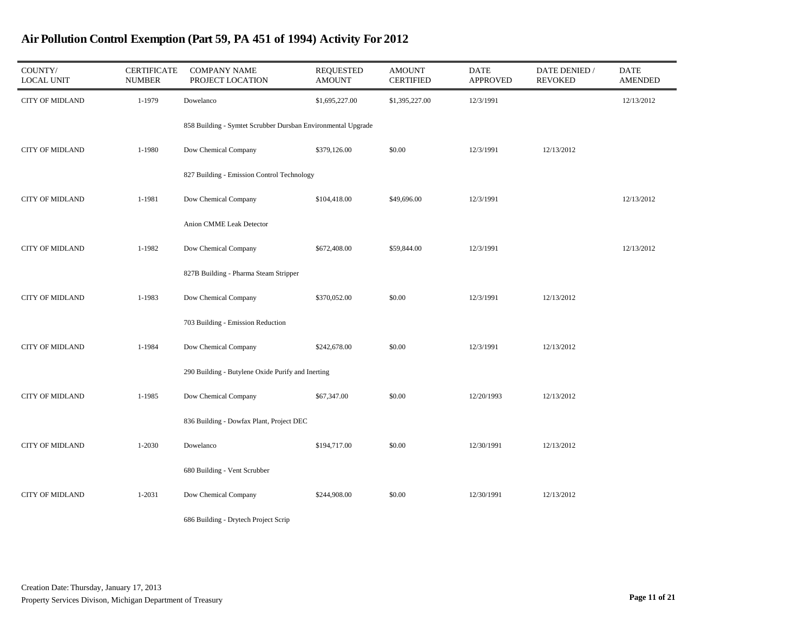| COUNTY/<br><b>LOCAL UNIT</b> | <b>CERTIFICATE</b><br><b>NUMBER</b> | <b>COMPANY NAME</b><br>PROJECT LOCATION                      | <b>REQUESTED</b><br><b>AMOUNT</b> | <b>AMOUNT</b><br><b>CERTIFIED</b> | <b>DATE</b><br><b>APPROVED</b> | DATE DENIED /<br><b>REVOKED</b> | <b>DATE</b><br><b>AMENDED</b> |
|------------------------------|-------------------------------------|--------------------------------------------------------------|-----------------------------------|-----------------------------------|--------------------------------|---------------------------------|-------------------------------|
| <b>CITY OF MIDLAND</b>       | 1-1979                              | Dowelanco                                                    | \$1,695,227.00                    | \$1,395,227.00                    | 12/3/1991                      |                                 | 12/13/2012                    |
|                              |                                     | 858 Building - Symtet Scrubber Dursban Environmental Upgrade |                                   |                                   |                                |                                 |                               |
| <b>CITY OF MIDLAND</b>       | 1-1980                              | Dow Chemical Company                                         | \$379,126.00                      | \$0.00                            | 12/3/1991                      | 12/13/2012                      |                               |
|                              |                                     | 827 Building - Emission Control Technology                   |                                   |                                   |                                |                                 |                               |
| <b>CITY OF MIDLAND</b>       | 1-1981                              | Dow Chemical Company                                         | \$104,418.00                      | \$49,696.00                       | 12/3/1991                      |                                 | 12/13/2012                    |
|                              |                                     | Anion CMME Leak Detector                                     |                                   |                                   |                                |                                 |                               |
| <b>CITY OF MIDLAND</b>       | 1-1982                              | Dow Chemical Company                                         | \$672,408.00                      | \$59,844.00                       | 12/3/1991                      |                                 | 12/13/2012                    |
|                              |                                     | 827B Building - Pharma Steam Stripper                        |                                   |                                   |                                |                                 |                               |
| <b>CITY OF MIDLAND</b>       | 1-1983                              | Dow Chemical Company                                         | \$370,052.00                      | \$0.00                            | 12/3/1991                      | 12/13/2012                      |                               |
|                              |                                     | 703 Building - Emission Reduction                            |                                   |                                   |                                |                                 |                               |
| <b>CITY OF MIDLAND</b>       | 1-1984                              | Dow Chemical Company                                         | \$242,678.00                      | \$0.00                            | 12/3/1991                      | 12/13/2012                      |                               |
|                              |                                     | 290 Building - Butylene Oxide Purify and Inerting            |                                   |                                   |                                |                                 |                               |
| <b>CITY OF MIDLAND</b>       | 1-1985                              | Dow Chemical Company                                         | \$67,347.00                       | \$0.00                            | 12/20/1993                     | 12/13/2012                      |                               |
|                              |                                     | 836 Building - Dowfax Plant, Project DEC                     |                                   |                                   |                                |                                 |                               |
| <b>CITY OF MIDLAND</b>       | 1-2030                              | Dowelanco                                                    | \$194,717.00                      | \$0.00                            | 12/30/1991                     | 12/13/2012                      |                               |
|                              |                                     | 680 Building - Vent Scrubber                                 |                                   |                                   |                                |                                 |                               |
| <b>CITY OF MIDLAND</b>       | 1-2031                              | Dow Chemical Company                                         | \$244,908.00                      | \$0.00                            | 12/30/1991                     | 12/13/2012                      |                               |
|                              |                                     | 686 Building - Drytech Project Scrip                         |                                   |                                   |                                |                                 |                               |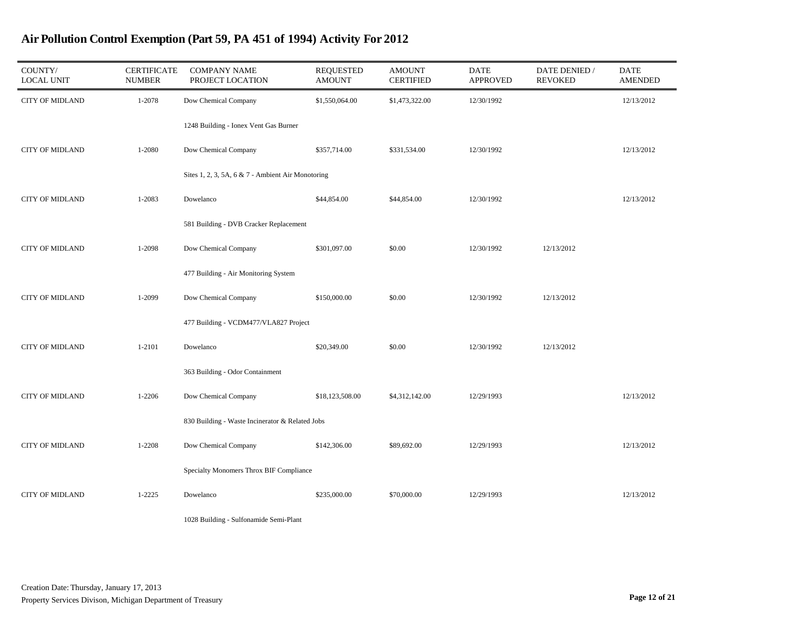| COUNTY/<br><b>LOCAL UNIT</b> | <b>CERTIFICATE</b><br><b>NUMBER</b> | <b>COMPANY NAME</b><br>PROJECT LOCATION           | <b>REQUESTED</b><br><b>AMOUNT</b> | <b>AMOUNT</b><br><b>CERTIFIED</b> | <b>DATE</b><br><b>APPROVED</b> | DATE DENIED /<br><b>REVOKED</b> | <b>DATE</b><br><b>AMENDED</b> |
|------------------------------|-------------------------------------|---------------------------------------------------|-----------------------------------|-----------------------------------|--------------------------------|---------------------------------|-------------------------------|
| <b>CITY OF MIDLAND</b>       | 1-2078                              | Dow Chemical Company                              | \$1,550,064.00                    | \$1,473,322.00                    | 12/30/1992                     |                                 | 12/13/2012                    |
|                              |                                     | 1248 Building - Ionex Vent Gas Burner             |                                   |                                   |                                |                                 |                               |
| <b>CITY OF MIDLAND</b>       | 1-2080                              | Dow Chemical Company                              | \$357,714.00                      | \$331,534.00                      | 12/30/1992                     |                                 | 12/13/2012                    |
|                              |                                     | Sites 1, 2, 3, 5A, 6 & 7 - Ambient Air Monotoring |                                   |                                   |                                |                                 |                               |
| <b>CITY OF MIDLAND</b>       | 1-2083                              | Dowelanco                                         | \$44,854.00                       | \$44,854.00                       | 12/30/1992                     |                                 | 12/13/2012                    |
|                              |                                     | 581 Building - DVB Cracker Replacement            |                                   |                                   |                                |                                 |                               |
| <b>CITY OF MIDLAND</b>       | 1-2098                              | Dow Chemical Company                              | \$301,097.00                      | \$0.00                            | 12/30/1992                     | 12/13/2012                      |                               |
|                              |                                     | 477 Building - Air Monitoring System              |                                   |                                   |                                |                                 |                               |
| <b>CITY OF MIDLAND</b>       | 1-2099                              | Dow Chemical Company                              | \$150,000.00                      | \$0.00                            | 12/30/1992                     | 12/13/2012                      |                               |
|                              |                                     | 477 Building - VCDM477/VLA827 Project             |                                   |                                   |                                |                                 |                               |
| <b>CITY OF MIDLAND</b>       | 1-2101                              | Dowelanco                                         | \$20,349.00                       | \$0.00                            | 12/30/1992                     | 12/13/2012                      |                               |
|                              |                                     | 363 Building - Odor Containment                   |                                   |                                   |                                |                                 |                               |
| <b>CITY OF MIDLAND</b>       | $1 - 2206$                          | Dow Chemical Company                              | \$18,123,508.00                   | \$4,312,142.00                    | 12/29/1993                     |                                 | 12/13/2012                    |
|                              |                                     | 830 Building - Waste Incinerator & Related Jobs   |                                   |                                   |                                |                                 |                               |
| <b>CITY OF MIDLAND</b>       | $1 - 2208$                          | Dow Chemical Company                              | \$142,306.00                      | \$89,692.00                       | 12/29/1993                     |                                 | 12/13/2012                    |
|                              |                                     | Specialty Monomers Throx BIF Compliance           |                                   |                                   |                                |                                 |                               |
| <b>CITY OF MIDLAND</b>       | $1 - 2225$                          | Dowelanco                                         | \$235,000.00                      | \$70,000.00                       | 12/29/1993                     |                                 | 12/13/2012                    |
|                              |                                     | 1028 Building - Sulfonamide Semi-Plant            |                                   |                                   |                                |                                 |                               |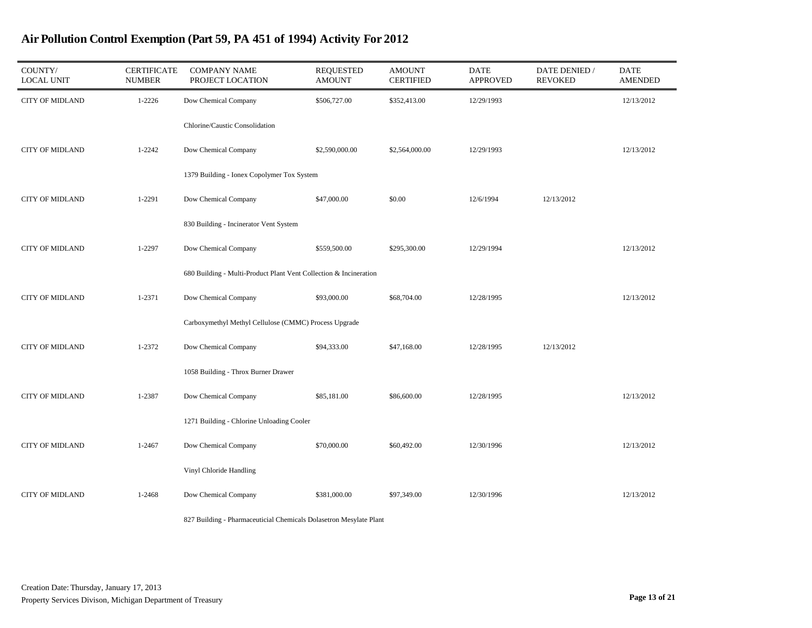| COUNTY/<br><b>LOCAL UNIT</b> | <b>CERTIFICATE</b><br><b>NUMBER</b> | <b>COMPANY NAME</b><br>PROJECT LOCATION                           | <b>REQUESTED</b><br><b>AMOUNT</b> | <b>AMOUNT</b><br><b>CERTIFIED</b> | DATE<br><b>APPROVED</b> | DATE DENIED /<br><b>REVOKED</b> | <b>DATE</b><br><b>AMENDED</b> |
|------------------------------|-------------------------------------|-------------------------------------------------------------------|-----------------------------------|-----------------------------------|-------------------------|---------------------------------|-------------------------------|
| <b>CITY OF MIDLAND</b>       | $1 - 2226$                          | Dow Chemical Company                                              | \$506,727.00                      | \$352,413.00                      | 12/29/1993              |                                 | 12/13/2012                    |
|                              |                                     | Chlorine/Caustic Consolidation                                    |                                   |                                   |                         |                                 |                               |
| <b>CITY OF MIDLAND</b>       | $1 - 2242$                          | Dow Chemical Company                                              | \$2,590,000.00                    | \$2,564,000.00                    | 12/29/1993              |                                 | 12/13/2012                    |
|                              |                                     | 1379 Building - Ionex Copolymer Tox System                        |                                   |                                   |                         |                                 |                               |
| <b>CITY OF MIDLAND</b>       | 1-2291                              | Dow Chemical Company                                              | \$47,000.00                       | \$0.00                            | 12/6/1994               | 12/13/2012                      |                               |
|                              |                                     | 830 Building - Incinerator Vent System                            |                                   |                                   |                         |                                 |                               |
| <b>CITY OF MIDLAND</b>       | 1-2297                              | Dow Chemical Company                                              | \$559,500.00                      | \$295,300.00                      | 12/29/1994              |                                 | 12/13/2012                    |
|                              |                                     | 680 Building - Multi-Product Plant Vent Collection & Incineration |                                   |                                   |                         |                                 |                               |
| <b>CITY OF MIDLAND</b>       | 1-2371                              | Dow Chemical Company                                              | \$93,000.00                       | \$68,704.00                       | 12/28/1995              |                                 | 12/13/2012                    |
|                              |                                     | Carboxymethyl Methyl Cellulose (CMMC) Process Upgrade             |                                   |                                   |                         |                                 |                               |
| <b>CITY OF MIDLAND</b>       | 1-2372                              | Dow Chemical Company                                              | \$94,333.00                       | \$47,168.00                       | 12/28/1995              | 12/13/2012                      |                               |
|                              |                                     | 1058 Building - Throx Burner Drawer                               |                                   |                                   |                         |                                 |                               |
| <b>CITY OF MIDLAND</b>       | 1-2387                              | Dow Chemical Company                                              | \$85,181.00                       | \$86,600.00                       | 12/28/1995              |                                 | 12/13/2012                    |
|                              |                                     | 1271 Building - Chlorine Unloading Cooler                         |                                   |                                   |                         |                                 |                               |
| <b>CITY OF MIDLAND</b>       | $1 - 2467$                          | Dow Chemical Company                                              | \$70,000.00                       | \$60,492.00                       | 12/30/1996              |                                 | 12/13/2012                    |
|                              |                                     | Vinyl Chloride Handling                                           |                                   |                                   |                         |                                 |                               |
| <b>CITY OF MIDLAND</b>       | 1-2468                              | Dow Chemical Company                                              | \$381,000.00                      | \$97,349.00                       | 12/30/1996              |                                 | 12/13/2012                    |

827 Building - Pharmaceuticial Chemicals Dolasetron Mesylate Plant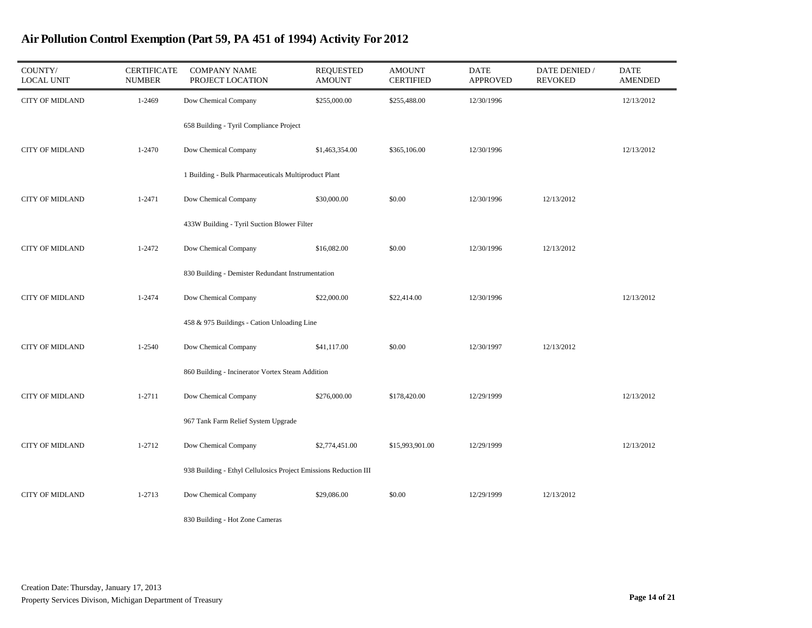| COUNTY/<br><b>LOCAL UNIT</b> | <b>CERTIFICATE</b><br><b>NUMBER</b> | <b>COMPANY NAME</b><br>PROJECT LOCATION                          | <b>REQUESTED</b><br><b>AMOUNT</b> | <b>AMOUNT</b><br><b>CERTIFIED</b> | <b>DATE</b><br><b>APPROVED</b> | DATE DENIED /<br><b>REVOKED</b> | <b>DATE</b><br><b>AMENDED</b> |
|------------------------------|-------------------------------------|------------------------------------------------------------------|-----------------------------------|-----------------------------------|--------------------------------|---------------------------------|-------------------------------|
| <b>CITY OF MIDLAND</b>       | 1-2469                              | Dow Chemical Company                                             | \$255,000.00                      | \$255,488.00                      | 12/30/1996                     |                                 | 12/13/2012                    |
|                              |                                     | 658 Building - Tyril Compliance Project                          |                                   |                                   |                                |                                 |                               |
| <b>CITY OF MIDLAND</b>       | $1 - 2470$                          | Dow Chemical Company                                             | \$1,463,354.00                    | \$365,106.00                      | 12/30/1996                     |                                 | 12/13/2012                    |
|                              |                                     | 1 Building - Bulk Pharmaceuticals Multiproduct Plant             |                                   |                                   |                                |                                 |                               |
| <b>CITY OF MIDLAND</b>       | 1-2471                              | Dow Chemical Company                                             | \$30,000.00                       | \$0.00                            | 12/30/1996                     | 12/13/2012                      |                               |
|                              |                                     | 433W Building - Tyril Suction Blower Filter                      |                                   |                                   |                                |                                 |                               |
| <b>CITY OF MIDLAND</b>       | 1-2472                              | Dow Chemical Company                                             | \$16,082.00                       | \$0.00                            | 12/30/1996                     | 12/13/2012                      |                               |
|                              |                                     | 830 Building - Demister Redundant Instrumentation                |                                   |                                   |                                |                                 |                               |
| <b>CITY OF MIDLAND</b>       | 1-2474                              | Dow Chemical Company                                             | \$22,000.00                       | \$22,414.00                       | 12/30/1996                     |                                 | 12/13/2012                    |
|                              |                                     | 458 & 975 Buildings - Cation Unloading Line                      |                                   |                                   |                                |                                 |                               |
| <b>CITY OF MIDLAND</b>       | $1 - 2540$                          | Dow Chemical Company                                             | \$41,117.00                       | \$0.00                            | 12/30/1997                     | 12/13/2012                      |                               |
|                              |                                     | 860 Building - Incinerator Vortex Steam Addition                 |                                   |                                   |                                |                                 |                               |
| <b>CITY OF MIDLAND</b>       | $1 - 2711$                          | Dow Chemical Company                                             | \$276,000.00                      | \$178,420.00                      | 12/29/1999                     |                                 | 12/13/2012                    |
|                              |                                     | 967 Tank Farm Relief System Upgrade                              |                                   |                                   |                                |                                 |                               |
| <b>CITY OF MIDLAND</b>       | $1 - 2712$                          | Dow Chemical Company                                             | \$2,774,451.00                    | \$15,993,901.00                   | 12/29/1999                     |                                 | 12/13/2012                    |
|                              |                                     | 938 Building - Ethyl Cellulosics Project Emissions Reduction III |                                   |                                   |                                |                                 |                               |
| <b>CITY OF MIDLAND</b>       | 1-2713                              | Dow Chemical Company                                             | \$29,086.00                       | \$0.00                            | 12/29/1999                     | 12/13/2012                      |                               |
|                              |                                     |                                                                  |                                   |                                   |                                |                                 |                               |

830 Building - Hot Zone Cameras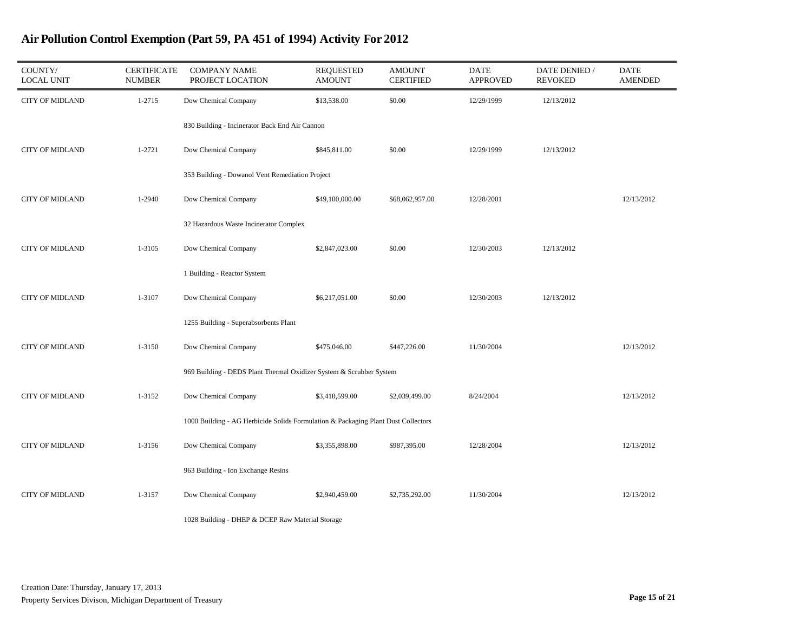| COUNTY/<br><b>LOCAL UNIT</b> | <b>CERTIFICATE</b><br><b>NUMBER</b> | <b>COMPANY NAME</b><br>PROJECT LOCATION                                           | <b>REQUESTED</b><br><b>AMOUNT</b> | <b>AMOUNT</b><br><b>CERTIFIED</b> | <b>DATE</b><br><b>APPROVED</b> | DATE DENIED /<br><b>REVOKED</b> | <b>DATE</b><br><b>AMENDED</b> |
|------------------------------|-------------------------------------|-----------------------------------------------------------------------------------|-----------------------------------|-----------------------------------|--------------------------------|---------------------------------|-------------------------------|
| <b>CITY OF MIDLAND</b>       | 1-2715                              | Dow Chemical Company                                                              | \$13,538.00                       | \$0.00                            | 12/29/1999                     | 12/13/2012                      |                               |
|                              |                                     | 830 Building - Incinerator Back End Air Cannon                                    |                                   |                                   |                                |                                 |                               |
| <b>CITY OF MIDLAND</b>       | 1-2721                              | Dow Chemical Company                                                              | \$845,811.00                      | \$0.00                            | 12/29/1999                     | 12/13/2012                      |                               |
|                              |                                     | 353 Building - Dowanol Vent Remediation Project                                   |                                   |                                   |                                |                                 |                               |
| <b>CITY OF MIDLAND</b>       | 1-2940                              | Dow Chemical Company                                                              | \$49,100,000.00                   | \$68,062,957.00                   | 12/28/2001                     |                                 | 12/13/2012                    |
|                              |                                     | 32 Hazardous Waste Incinerator Complex                                            |                                   |                                   |                                |                                 |                               |
| <b>CITY OF MIDLAND</b>       | 1-3105                              | Dow Chemical Company                                                              | \$2,847,023.00                    | \$0.00                            | 12/30/2003                     | 12/13/2012                      |                               |
|                              |                                     | 1 Building - Reactor System                                                       |                                   |                                   |                                |                                 |                               |
| <b>CITY OF MIDLAND</b>       | 1-3107                              | Dow Chemical Company                                                              | \$6,217,051.00                    | \$0.00                            | 12/30/2003                     | 12/13/2012                      |                               |
|                              |                                     | 1255 Building - Superabsorbents Plant                                             |                                   |                                   |                                |                                 |                               |
| <b>CITY OF MIDLAND</b>       | 1-3150                              | Dow Chemical Company                                                              | \$475,046.00                      | \$447,226.00                      | 11/30/2004                     |                                 | 12/13/2012                    |
|                              |                                     | 969 Building - DEDS Plant Thermal Oxidizer System & Scrubber System               |                                   |                                   |                                |                                 |                               |
| <b>CITY OF MIDLAND</b>       | 1-3152                              | Dow Chemical Company                                                              | \$3,418,599.00                    | \$2,039,499.00                    | 8/24/2004                      |                                 | 12/13/2012                    |
|                              |                                     | 1000 Building - AG Herbicide Solids Formulation & Packaging Plant Dust Collectors |                                   |                                   |                                |                                 |                               |
| <b>CITY OF MIDLAND</b>       | 1-3156                              | Dow Chemical Company                                                              | \$3,355,898.00                    | \$987,395.00                      | 12/28/2004                     |                                 | 12/13/2012                    |
|                              |                                     | 963 Building - Ion Exchange Resins                                                |                                   |                                   |                                |                                 |                               |
| <b>CITY OF MIDLAND</b>       | 1-3157                              | Dow Chemical Company                                                              | \$2,940,459.00                    | \$2,735,292.00                    | 11/30/2004                     |                                 | 12/13/2012                    |
|                              |                                     |                                                                                   |                                   |                                   |                                |                                 |                               |

1028 Building - DHEP & DCEP Raw Material Storage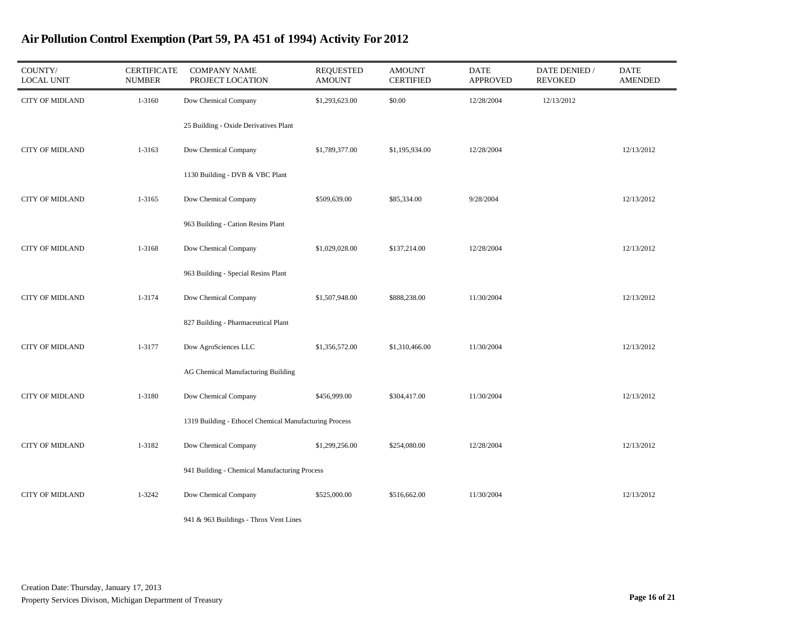| COUNTY/<br><b>LOCAL UNIT</b> | <b>CERTIFICATE</b><br><b>NUMBER</b> | <b>COMPANY NAME</b><br>PROJECT LOCATION                | <b>REQUESTED</b><br><b>AMOUNT</b> | <b>AMOUNT</b><br><b>CERTIFIED</b> | <b>DATE</b><br><b>APPROVED</b> | DATE DENIED /<br><b>REVOKED</b> | <b>DATE</b><br><b>AMENDED</b> |
|------------------------------|-------------------------------------|--------------------------------------------------------|-----------------------------------|-----------------------------------|--------------------------------|---------------------------------|-------------------------------|
| <b>CITY OF MIDLAND</b>       | 1-3160                              | Dow Chemical Company                                   | \$1,293,623.00                    | \$0.00                            | 12/28/2004                     | 12/13/2012                      |                               |
|                              |                                     | 25 Building - Oxide Derivatives Plant                  |                                   |                                   |                                |                                 |                               |
| <b>CITY OF MIDLAND</b>       | 1-3163                              | Dow Chemical Company                                   | \$1,789,377.00                    | \$1,195,934.00                    | 12/28/2004                     |                                 | 12/13/2012                    |
|                              |                                     | 1130 Building - DVB & VBC Plant                        |                                   |                                   |                                |                                 |                               |
| <b>CITY OF MIDLAND</b>       | 1-3165                              | Dow Chemical Company                                   | \$509,639.00                      | \$85,334.00                       | 9/28/2004                      |                                 | 12/13/2012                    |
|                              |                                     | 963 Building - Cation Resins Plant                     |                                   |                                   |                                |                                 |                               |
| <b>CITY OF MIDLAND</b>       | 1-3168                              | Dow Chemical Company                                   | \$1,029,028.00                    | \$137,214.00                      | 12/28/2004                     |                                 | 12/13/2012                    |
|                              |                                     | 963 Building - Special Resins Plant                    |                                   |                                   |                                |                                 |                               |
| <b>CITY OF MIDLAND</b>       | 1-3174                              | Dow Chemical Company                                   | \$1,507,948.00                    | \$888,238.00                      | 11/30/2004                     |                                 | 12/13/2012                    |
|                              |                                     | 827 Building - Pharmaceutical Plant                    |                                   |                                   |                                |                                 |                               |
| <b>CITY OF MIDLAND</b>       | 1-3177                              | Dow AgroSciences LLC                                   | \$1,356,572.00                    | \$1,310,466.00                    | 11/30/2004                     |                                 | 12/13/2012                    |
|                              |                                     | AG Chemical Manufacturing Building                     |                                   |                                   |                                |                                 |                               |
| <b>CITY OF MIDLAND</b>       | 1-3180                              | Dow Chemical Company                                   | \$456,999.00                      | \$304,417.00                      | 11/30/2004                     |                                 | 12/13/2012                    |
|                              |                                     | 1319 Building - Ethocel Chemical Manufacturing Process |                                   |                                   |                                |                                 |                               |
| <b>CITY OF MIDLAND</b>       | 1-3182                              | Dow Chemical Company                                   | \$1,299,256.00                    | \$254,080.00                      | 12/28/2004                     |                                 | 12/13/2012                    |
|                              |                                     | 941 Building - Chemical Manufacturing Process          |                                   |                                   |                                |                                 |                               |
| <b>CITY OF MIDLAND</b>       | 1-3242                              | Dow Chemical Company                                   | \$525,000.00                      | \$516,662.00                      | 11/30/2004                     |                                 | 12/13/2012                    |
|                              |                                     | 941 & 963 Buildings - Throx Vent Lines                 |                                   |                                   |                                |                                 |                               |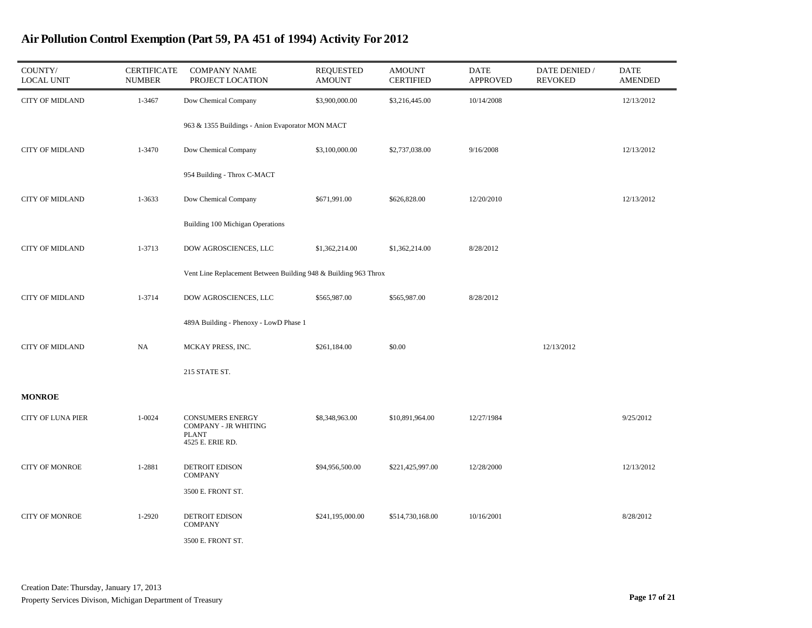| COUNTY/<br><b>LOCAL UNIT</b> | <b>CERTIFICATE</b><br><b>NUMBER</b> | <b>COMPANY NAME</b><br>PROJECT LOCATION                                                    | <b>REQUESTED</b><br><b>AMOUNT</b> | <b>AMOUNT</b><br><b>CERTIFIED</b> | <b>DATE</b><br><b>APPROVED</b> | DATE DENIED /<br><b>REVOKED</b> | <b>DATE</b><br><b>AMENDED</b> |
|------------------------------|-------------------------------------|--------------------------------------------------------------------------------------------|-----------------------------------|-----------------------------------|--------------------------------|---------------------------------|-------------------------------|
| CITY OF MIDLAND              | 1-3467                              | Dow Chemical Company                                                                       | \$3,900,000.00                    | \$3,216,445.00                    | 10/14/2008                     |                                 | 12/13/2012                    |
|                              |                                     | 963 & 1355 Buildings - Anion Evaporator MON MACT                                           |                                   |                                   |                                |                                 |                               |
| <b>CITY OF MIDLAND</b>       | 1-3470                              | Dow Chemical Company                                                                       | \$3,100,000.00                    | \$2,737,038.00                    | 9/16/2008                      |                                 | 12/13/2012                    |
|                              |                                     | 954 Building - Throx C-MACT                                                                |                                   |                                   |                                |                                 |                               |
| <b>CITY OF MIDLAND</b>       | 1-3633                              | Dow Chemical Company                                                                       | \$671,991.00                      | \$626,828.00                      | 12/20/2010                     |                                 | 12/13/2012                    |
|                              |                                     | Building 100 Michigan Operations                                                           |                                   |                                   |                                |                                 |                               |
| <b>CITY OF MIDLAND</b>       | 1-3713                              | DOW AGROSCIENCES, LLC                                                                      | \$1,362,214.00                    | \$1,362,214.00                    | 8/28/2012                      |                                 |                               |
|                              |                                     | Vent Line Replacement Between Building 948 & Building 963 Throx                            |                                   |                                   |                                |                                 |                               |
| <b>CITY OF MIDLAND</b>       | 1-3714                              | DOW AGROSCIENCES, LLC                                                                      | \$565,987.00                      | \$565,987.00                      | 8/28/2012                      |                                 |                               |
|                              |                                     | 489A Building - Phenoxy - LowD Phase 1                                                     |                                   |                                   |                                |                                 |                               |
| <b>CITY OF MIDLAND</b>       | NA                                  | MCKAY PRESS, INC.                                                                          | \$261,184.00                      | \$0.00                            |                                | 12/13/2012                      |                               |
|                              |                                     | 215 STATE ST.                                                                              |                                   |                                   |                                |                                 |                               |
| <b>MONROE</b>                |                                     |                                                                                            |                                   |                                   |                                |                                 |                               |
| <b>CITY OF LUNA PIER</b>     | 1-0024                              | <b>CONSUMERS ENERGY</b><br><b>COMPANY - JR WHITING</b><br><b>PLANT</b><br>4525 E. ERIE RD. | \$8,348,963.00                    | \$10,891,964.00                   | 12/27/1984                     |                                 | 9/25/2012                     |
| <b>CITY OF MONROE</b>        | 1-2881                              | <b>DETROIT EDISON</b><br><b>COMPANY</b>                                                    | \$94,956,500.00                   | \$221,425,997.00                  | 12/28/2000                     |                                 | 12/13/2012                    |
|                              |                                     | 3500 E. FRONT ST.                                                                          |                                   |                                   |                                |                                 |                               |
| <b>CITY OF MONROE</b>        | 1-2920                              | DETROIT EDISON<br><b>COMPANY</b>                                                           | \$241,195,000.00                  | \$514,730,168.00                  | 10/16/2001                     |                                 | 8/28/2012                     |
|                              |                                     | 3500 E. FRONT ST.                                                                          |                                   |                                   |                                |                                 |                               |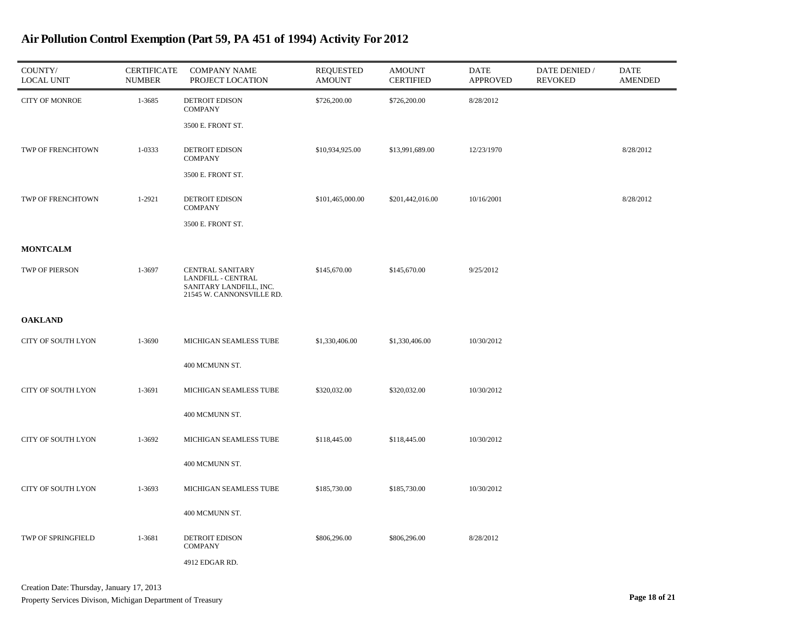| COUNTY/<br><b>LOCAL UNIT</b> | <b>CERTIFICATE</b><br><b>NUMBER</b> | <b>COMPANY NAME</b><br>PROJECT LOCATION                                                        | <b>REQUESTED</b><br><b>AMOUNT</b> | <b>AMOUNT</b><br><b>CERTIFIED</b> | <b>DATE</b><br><b>APPROVED</b> | DATE DENIED /<br><b>REVOKED</b> | DATE<br><b>AMENDED</b> |
|------------------------------|-------------------------------------|------------------------------------------------------------------------------------------------|-----------------------------------|-----------------------------------|--------------------------------|---------------------------------|------------------------|
| <b>CITY OF MONROE</b>        | 1-3685                              | DETROIT EDISON<br><b>COMPANY</b>                                                               | \$726,200.00                      | \$726,200.00                      | 8/28/2012                      |                                 |                        |
|                              |                                     | 3500 E. FRONT ST.                                                                              |                                   |                                   |                                |                                 |                        |
| TWP OF FRENCHTOWN            | 1-0333                              | DETROIT EDISON<br><b>COMPANY</b>                                                               | \$10,934,925.00                   | \$13,991,689.00                   | 12/23/1970                     |                                 | 8/28/2012              |
|                              |                                     | 3500 E. FRONT ST.                                                                              |                                   |                                   |                                |                                 |                        |
| TWP OF FRENCHTOWN            | 1-2921                              | DETROIT EDISON<br><b>COMPANY</b>                                                               | \$101,465,000.00                  | \$201,442,016.00                  | 10/16/2001                     |                                 | 8/28/2012              |
|                              |                                     | 3500 E. FRONT ST.                                                                              |                                   |                                   |                                |                                 |                        |
| <b>MONTCALM</b>              |                                     |                                                                                                |                                   |                                   |                                |                                 |                        |
| TWP OF PIERSON               | 1-3697                              | CENTRAL SANITARY<br>LANDFILL - CENTRAL<br>SANITARY LANDFILL, INC.<br>21545 W. CANNONSVILLE RD. | \$145,670.00                      | \$145,670.00                      | 9/25/2012                      |                                 |                        |
| <b>OAKLAND</b>               |                                     |                                                                                                |                                   |                                   |                                |                                 |                        |
| CITY OF SOUTH LYON           | 1-3690                              | MICHIGAN SEAMLESS TUBE                                                                         | \$1,330,406.00                    | \$1,330,406.00                    | 10/30/2012                     |                                 |                        |
|                              |                                     | 400 MCMUNN ST.                                                                                 |                                   |                                   |                                |                                 |                        |
| <b>CITY OF SOUTH LYON</b>    | 1-3691                              | MICHIGAN SEAMLESS TUBE                                                                         | \$320,032.00                      | \$320,032.00                      | 10/30/2012                     |                                 |                        |
|                              |                                     | 400 MCMUNN ST.                                                                                 |                                   |                                   |                                |                                 |                        |
| CITY OF SOUTH LYON           | 1-3692                              | MICHIGAN SEAMLESS TUBE                                                                         | \$118,445.00                      | \$118,445.00                      | 10/30/2012                     |                                 |                        |
|                              |                                     | 400 MCMUNN ST.                                                                                 |                                   |                                   |                                |                                 |                        |
| CITY OF SOUTH LYON           | 1-3693                              | MICHIGAN SEAMLESS TUBE                                                                         | \$185,730.00                      | \$185,730.00                      | 10/30/2012                     |                                 |                        |
|                              |                                     | 400 MCMUNN ST.                                                                                 |                                   |                                   |                                |                                 |                        |
| TWP OF SPRINGFIELD           | 1-3681                              | <b>DETROIT EDISON</b><br><b>COMPANY</b>                                                        | \$806,296.00                      | \$806,296.00                      | 8/28/2012                      |                                 |                        |
|                              |                                     | 4912 EDGAR RD.                                                                                 |                                   |                                   |                                |                                 |                        |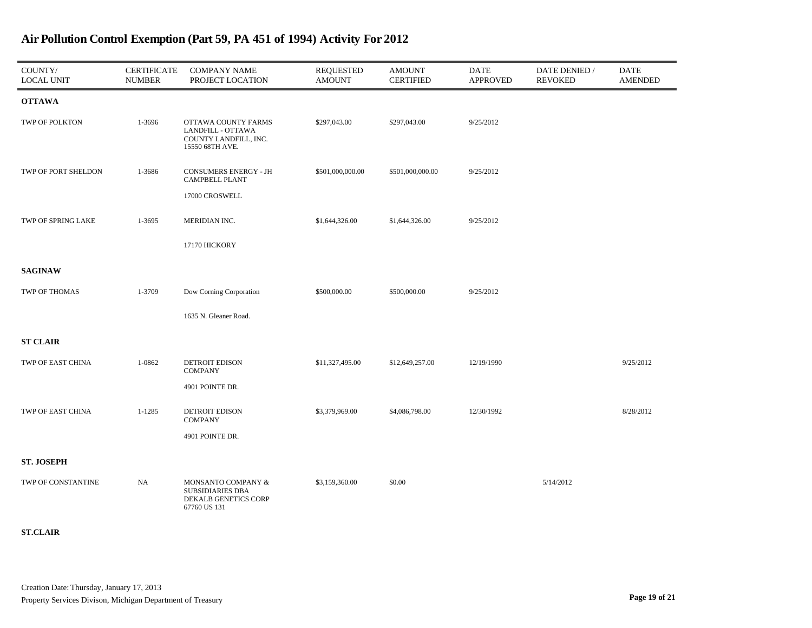| COUNTY/<br><b>LOCAL UNIT</b> | <b>CERTIFICATE</b><br><b>NUMBER</b> | <b>COMPANY NAME</b><br>PROJECT LOCATION                                               | <b>REQUESTED</b><br><b>AMOUNT</b> | <b>AMOUNT</b><br><b>CERTIFIED</b> | <b>DATE</b><br><b>APPROVED</b> | DATE DENIED /<br><b>REVOKED</b> | <b>DATE</b><br><b>AMENDED</b> |
|------------------------------|-------------------------------------|---------------------------------------------------------------------------------------|-----------------------------------|-----------------------------------|--------------------------------|---------------------------------|-------------------------------|
| <b>OTTAWA</b>                |                                     |                                                                                       |                                   |                                   |                                |                                 |                               |
| TWP OF POLKTON               | 1-3696                              | OTTAWA COUNTY FARMS<br>LANDFILL - OTTAWA<br>COUNTY LANDFILL, INC.<br>15550 68TH AVE.  | \$297,043.00                      | \$297,043.00                      | 9/25/2012                      |                                 |                               |
| TWP OF PORT SHELDON          | 1-3686                              | <b>CONSUMERS ENERGY - JH</b><br>CAMPBELL PLANT                                        | \$501,000,000.00                  | \$501,000,000.00                  | 9/25/2012                      |                                 |                               |
|                              |                                     | 17000 CROSWELL                                                                        |                                   |                                   |                                |                                 |                               |
| TWP OF SPRING LAKE           | 1-3695                              | MERIDIAN INC.                                                                         | \$1,644,326.00                    | \$1,644,326.00                    | 9/25/2012                      |                                 |                               |
|                              |                                     | 17170 HICKORY                                                                         |                                   |                                   |                                |                                 |                               |
| <b>SAGINAW</b>               |                                     |                                                                                       |                                   |                                   |                                |                                 |                               |
| TWP OF THOMAS                | 1-3709                              | Dow Corning Corporation                                                               | \$500,000.00                      | \$500,000.00                      | 9/25/2012                      |                                 |                               |
|                              |                                     | 1635 N. Gleaner Road.                                                                 |                                   |                                   |                                |                                 |                               |
| <b>ST CLAIR</b>              |                                     |                                                                                       |                                   |                                   |                                |                                 |                               |
| TWP OF EAST CHINA            | 1-0862                              | DETROIT EDISON<br><b>COMPANY</b>                                                      | \$11,327,495.00                   | \$12,649,257.00                   | 12/19/1990                     |                                 | 9/25/2012                     |
|                              |                                     | 4901 POINTE DR.                                                                       |                                   |                                   |                                |                                 |                               |
| TWP OF EAST CHINA            | $1 - 1285$                          | <b>DETROIT EDISON</b><br><b>COMPANY</b>                                               | \$3,379,969.00                    | \$4,086,798.00                    | 12/30/1992                     |                                 | 8/28/2012                     |
|                              |                                     | 4901 POINTE DR.                                                                       |                                   |                                   |                                |                                 |                               |
| <b>ST. JOSEPH</b>            |                                     |                                                                                       |                                   |                                   |                                |                                 |                               |
| TWP OF CONSTANTINE           | NA                                  | MONSANTO COMPANY &<br><b>SUBSIDIARIES DBA</b><br>DEKALB GENETICS CORP<br>67760 US 131 | \$3,159,360.00                    | \$0.00                            |                                | 5/14/2012                       |                               |

#### **ST.CLAIR**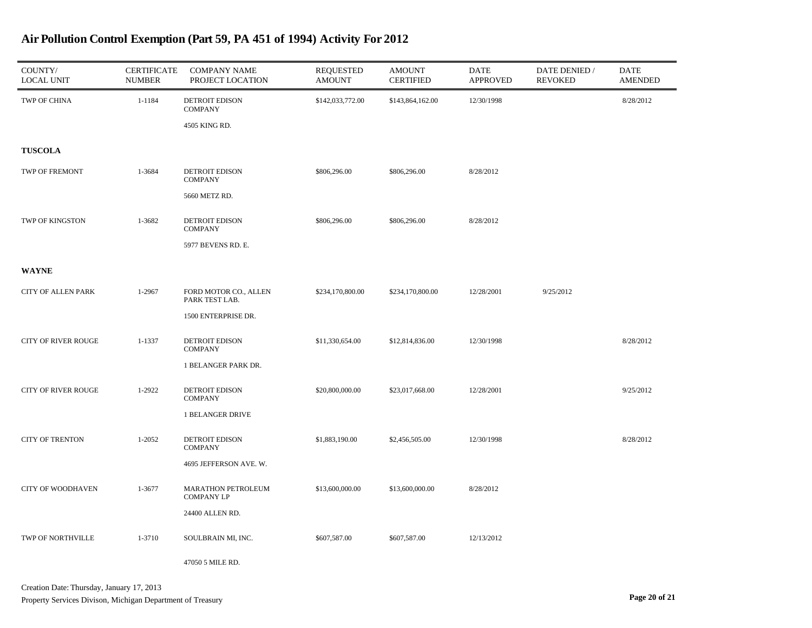| COUNTY/<br><b>LOCAL UNIT</b> | <b>CERTIFICATE</b><br><b>NUMBER</b> | <b>COMPANY NAME</b><br>PROJECT LOCATION | <b>REQUESTED</b><br><b>AMOUNT</b> | <b>AMOUNT</b><br><b>CERTIFIED</b> | <b>DATE</b><br><b>APPROVED</b> | DATE DENIED /<br><b>REVOKED</b> | DATE<br><b>AMENDED</b> |
|------------------------------|-------------------------------------|-----------------------------------------|-----------------------------------|-----------------------------------|--------------------------------|---------------------------------|------------------------|
| TWP OF CHINA                 | 1-1184                              | DETROIT EDISON<br><b>COMPANY</b>        | \$142,033,772.00                  | \$143,864,162.00                  | 12/30/1998                     |                                 | 8/28/2012              |
|                              |                                     | 4505 KING RD.                           |                                   |                                   |                                |                                 |                        |
| <b>TUSCOLA</b>               |                                     |                                         |                                   |                                   |                                |                                 |                        |
| TWP OF FREMONT               | 1-3684                              | <b>DETROIT EDISON</b><br><b>COMPANY</b> | \$806,296.00                      | \$806,296.00                      | 8/28/2012                      |                                 |                        |
|                              |                                     | 5660 METZ RD.                           |                                   |                                   |                                |                                 |                        |
| TWP OF KINGSTON              | 1-3682                              | DETROIT EDISON<br><b>COMPANY</b>        | \$806,296.00                      | \$806,296.00                      | 8/28/2012                      |                                 |                        |
|                              |                                     | 5977 BEVENS RD. E.                      |                                   |                                   |                                |                                 |                        |
| <b>WAYNE</b>                 |                                     |                                         |                                   |                                   |                                |                                 |                        |
| <b>CITY OF ALLEN PARK</b>    | 1-2967                              | FORD MOTOR CO., ALLEN<br>PARK TEST LAB. | \$234,170,800.00                  | \$234,170,800.00                  | 12/28/2001                     | 9/25/2012                       |                        |
|                              |                                     | 1500 ENTERPRISE DR.                     |                                   |                                   |                                |                                 |                        |
| <b>CITY OF RIVER ROUGE</b>   | 1-1337                              | <b>DETROIT EDISON</b><br><b>COMPANY</b> | \$11,330,654.00                   | \$12,814,836.00                   | 12/30/1998                     |                                 | 8/28/2012              |
|                              |                                     | 1 BELANGER PARK DR.                     |                                   |                                   |                                |                                 |                        |
| <b>CITY OF RIVER ROUGE</b>   | 1-2922                              | DETROIT EDISON<br><b>COMPANY</b>        | \$20,800,000.00                   | \$23,017,668.00                   | 12/28/2001                     |                                 | 9/25/2012              |
|                              |                                     | <b>1 BELANGER DRIVE</b>                 |                                   |                                   |                                |                                 |                        |
| <b>CITY OF TRENTON</b>       | $1 - 2052$                          | DETROIT EDISON<br><b>COMPANY</b>        | \$1,883,190.00                    | \$2,456,505.00                    | 12/30/1998                     |                                 | 8/28/2012              |
|                              |                                     | 4695 JEFFERSON AVE. W.                  |                                   |                                   |                                |                                 |                        |
| <b>CITY OF WOODHAVEN</b>     | 1-3677                              | MARATHON PETROLEUM<br><b>COMPANY LP</b> | \$13,600,000.00                   | \$13,600,000.00                   | 8/28/2012                      |                                 |                        |
|                              |                                     | 24400 ALLEN RD.                         |                                   |                                   |                                |                                 |                        |
| TWP OF NORTHVILLE            | 1-3710                              | SOULBRAIN MI, INC.                      | \$607,587.00                      | \$607,587.00                      | 12/13/2012                     |                                 |                        |
|                              |                                     | 47050 5 MILE RD.                        |                                   |                                   |                                |                                 |                        |